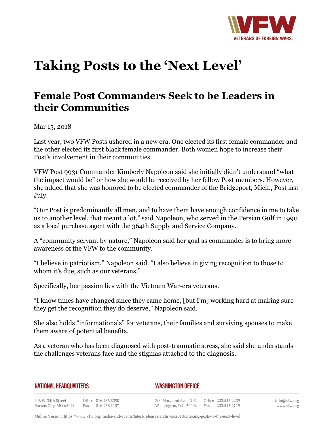

## **Taking Posts to the 'Next Level'**

## **Female Post Commanders Seek to be Leaders in their Communities**

Mar 15, 2018

Last year, two VFW Posts ushered in a new era. One elected its first female commander and the other elected its first black female commander. Both women hope to increase their Post's involvement in their communities.

VFW Post 9931 Commander Kimberly Napoleon said she initially didn't understand "what the impact would be" or how she would be received by her fellow Post members. However, she added that she was honored to be elected commander of the Bridgeport, Mich., Post last July.

"Our Post is predominantly all men, and to have them have enough confidence in me to take us to another level, that meant a lot," said Napoleon, who served in the Persian Gulf in 1990 as a local purchase agent with the 364th Supply and Service Company.

A "community servant by nature," Napoleon said her goal as commander is to bring more awareness of the VFW to the community.

"I believe in patriotism," Napoleon said. "I also believe in giving recognition to those to whom it's due, such as our veterans."

Specifically, her passion lies with the Vietnam War-era veterans.

"I know times have changed since they came home, [but I'm] working hard at making sure they get the recognition they do deserve," Napoleon said.

She also holds "informationals" for veterans, their families and surviving spouses to make them aware of potential benefits.

As a veteran who has been diagnosed with post-traumatic stress, she said she understands the challenges veterans face and the stigmas attached to the diagnosis.

| <b>NATIONAL HEADQUARTERS</b> |  |
|------------------------------|--|
|------------------------------|--|

## *WASHINGTON OFFICE*

406 W. 34th Street Office 816.756.3390 Fax 816.968.1157 Kansas City, MO 64111

200 Maryland Ave., N.E. Washington, D.C. 20002

Office 202.543.2239 Fax 202.543.6719